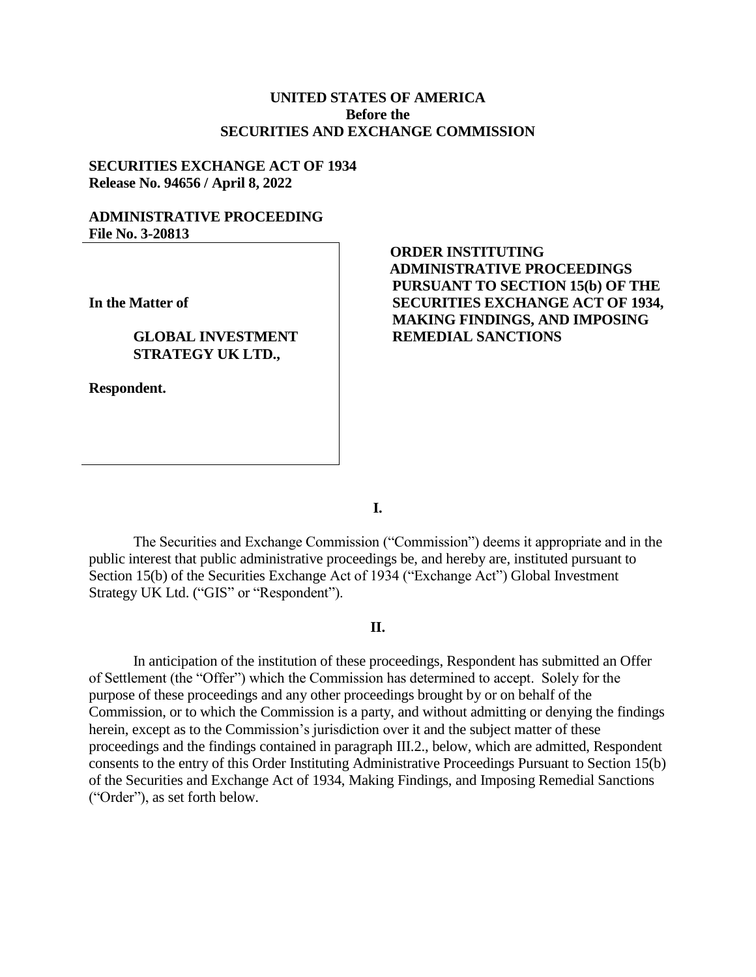## **UNITED STATES OF AMERICA Before the SECURITIES AND EXCHANGE COMMISSION**

#### **SECURITIES EXCHANGE ACT OF 1934 Release No. 94656 / April 8, 2022**

### **ADMINISTRATIVE PROCEEDING File No. 3-20813**

**In the Matter of**

#### **GLOBAL INVESTMENT STRATEGY UK LTD.,**

**Respondent.**

# **ORDER INSTITUTING ADMINISTRATIVE PROCEEDINGS PURSUANT TO SECTION 15(b) OF THE SECURITIES EXCHANGE ACT OF 1934, MAKING FINDINGS, AND IMPOSING REMEDIAL SANCTIONS**

**I.**

The Securities and Exchange Commission ("Commission") deems it appropriate and in the public interest that public administrative proceedings be, and hereby are, instituted pursuant to Section 15(b) of the Securities Exchange Act of 1934 ("Exchange Act") Global Investment Strategy UK Ltd. ("GIS" or "Respondent").

## **II.**

In anticipation of the institution of these proceedings, Respondent has submitted an Offer of Settlement (the "Offer") which the Commission has determined to accept. Solely for the purpose of these proceedings and any other proceedings brought by or on behalf of the Commission, or to which the Commission is a party, and without admitting or denying the findings herein, except as to the Commission's jurisdiction over it and the subject matter of these proceedings and the findings contained in paragraph III.2., below, which are admitted, Respondent consents to the entry of this Order Instituting Administrative Proceedings Pursuant to Section 15(b) of the Securities and Exchange Act of 1934, Making Findings, and Imposing Remedial Sanctions ("Order"), as set forth below.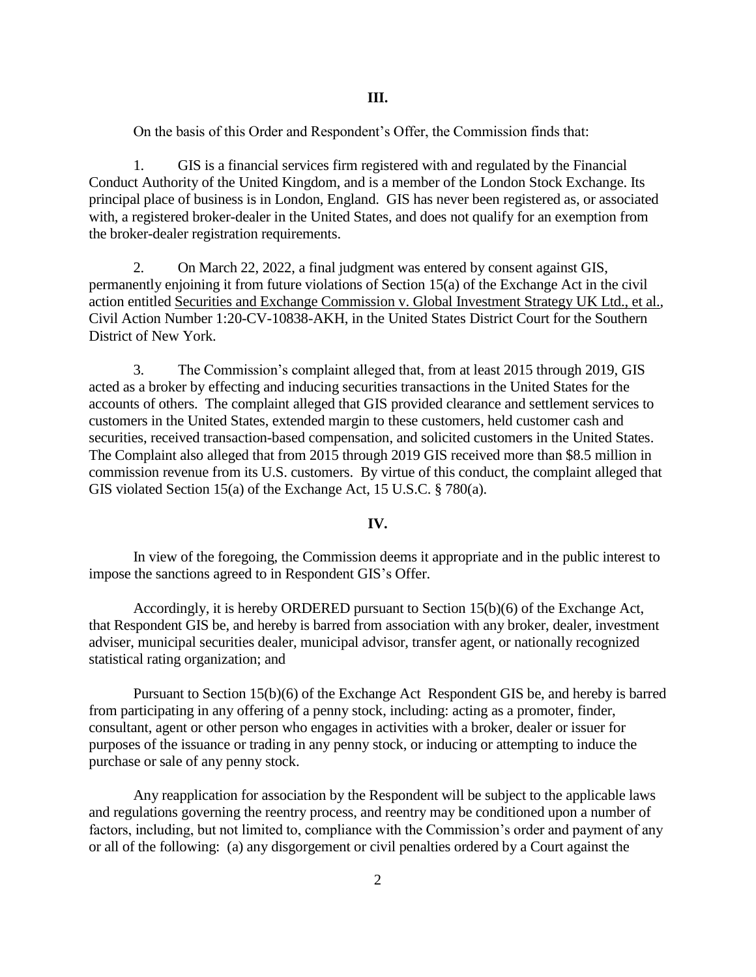On the basis of this Order and Respondent's Offer, the Commission finds that:

1. GIS is a financial services firm registered with and regulated by the Financial Conduct Authority of the United Kingdom, and is a member of the London Stock Exchange. Its principal place of business is in London, England. GIS has never been registered as, or associated with, a registered broker-dealer in the United States, and does not qualify for an exemption from the broker-dealer registration requirements.

2. On March 22, 2022, a final judgment was entered by consent against GIS, permanently enjoining it from future violations of Section 15(a) of the Exchange Act in the civil action entitled Securities and Exchange Commission v. Global Investment Strategy UK Ltd., et al., Civil Action Number 1:20-CV-10838-AKH, in the United States District Court for the Southern District of New York.

3. The Commission's complaint alleged that, from at least 2015 through 2019, GIS acted as a broker by effecting and inducing securities transactions in the United States for the accounts of others. The complaint alleged that GIS provided clearance and settlement services to customers in the United States, extended margin to these customers, held customer cash and securities, received transaction-based compensation, and solicited customers in the United States. The Complaint also alleged that from 2015 through 2019 GIS received more than \$8.5 million in commission revenue from its U.S. customers. By virtue of this conduct, the complaint alleged that GIS violated Section 15(a) of the Exchange Act, 15 U.S.C. § 780(a).

#### **IV.**

In view of the foregoing, the Commission deems it appropriate and in the public interest to impose the sanctions agreed to in Respondent GIS's Offer.

Accordingly, it is hereby ORDERED pursuant to Section 15(b)(6) of the Exchange Act, that Respondent GIS be, and hereby is barred from association with any broker, dealer, investment adviser, municipal securities dealer, municipal advisor, transfer agent, or nationally recognized statistical rating organization; and

Pursuant to Section 15(b)(6) of the Exchange Act Respondent GIS be, and hereby is barred from participating in any offering of a penny stock, including: acting as a promoter, finder, consultant, agent or other person who engages in activities with a broker, dealer or issuer for purposes of the issuance or trading in any penny stock, or inducing or attempting to induce the purchase or sale of any penny stock.

Any reapplication for association by the Respondent will be subject to the applicable laws and regulations governing the reentry process, and reentry may be conditioned upon a number of factors, including, but not limited to, compliance with the Commission's order and payment of any or all of the following: (a) any disgorgement or civil penalties ordered by a Court against the